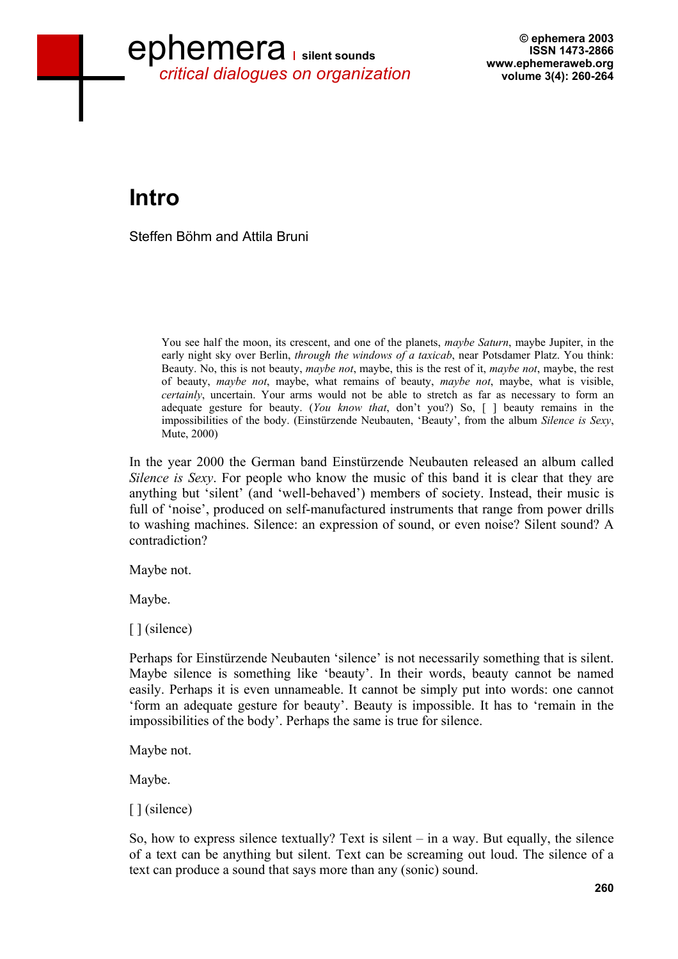# ephemera **silent sounds** *critical dialogues on organization*

**© ephemera 2003 ISSN 1473-2866 www.ephemeraweb.org volume 3(4): 260-264** 

## **Intro**

Steffen Böhm and Attila Bruni

You see half the moon, its crescent, and one of the planets, *maybe Saturn*, maybe Jupiter, in the early night sky over Berlin, *through the windows of a taxicab*, near Potsdamer Platz. You think: Beauty. No, this is not beauty, *maybe not*, maybe, this is the rest of it, *maybe not*, maybe, the rest of beauty, *maybe not*, maybe, what remains of beauty, *maybe not*, maybe, what is visible, *certainly*, uncertain. Your arms would not be able to stretch as far as necessary to form an adequate gesture for beauty. (*You know that*, don't you?) So, [ ] beauty remains in the impossibilities of the body. (Einstürzende Neubauten, 'Beauty', from the album *Silence is Sexy*, Mute, 2000)

In the year 2000 the German band Einstürzende Neubauten released an album called *Silence is Sexy*. For people who know the music of this band it is clear that they are anything but 'silent' (and 'well-behaved') members of society. Instead, their music is full of 'noise', produced on self-manufactured instruments that range from power drills to washing machines. Silence: an expression of sound, or even noise? Silent sound? A contradiction?

Maybe not.

Maybe.

[ ] (silence)

Perhaps for Einstürzende Neubauten 'silence' is not necessarily something that is silent. Maybe silence is something like 'beauty'. In their words, beauty cannot be named easily. Perhaps it is even unnameable. It cannot be simply put into words: one cannot 'form an adequate gesture for beauty'. Beauty is impossible. It has to 'remain in the impossibilities of the body'. Perhaps the same is true for silence.

Maybe not.

Maybe.

[ ] (silence)

So, how to express silence textually? Text is silent – in a way. But equally, the silence of a text can be anything but silent. Text can be screaming out loud. The silence of a text can produce a sound that says more than any (sonic) sound.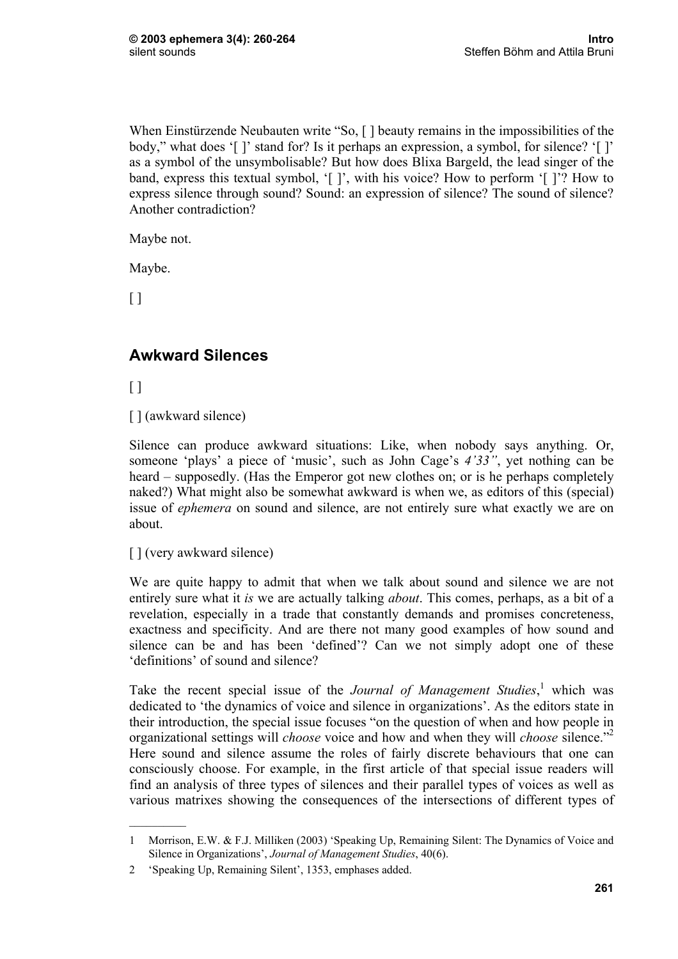When Einstürzende Neubauten write "So, [] beauty remains in the impossibilities of the body," what does '[ ]' stand for? Is it perhaps an expression, a symbol, for silence? '[ ]' as a symbol of the unsymbolisable? But how does Blixa Bargeld, the lead singer of the band, express this textual symbol, '[ ]', with his voice? How to perform '[ ]'? How to express silence through sound? Sound: an expression of silence? The sound of silence? Another contradiction?

Maybe not.

Maybe.

 $\Box$ 

#### **Awkward Silences**

[ ]

[ ] (awkward silence)

Silence can produce awkward situations: Like, when nobody says anything. Or, someone 'plays' a piece of 'music', such as John Cage's *4'33"*, yet nothing can be heard – supposedly. (Has the Emperor got new clothes on; or is he perhaps completely naked?) What might also be somewhat awkward is when we, as editors of this (special) issue of *ephemera* on sound and silence, are not entirely sure what exactly we are on about.

[ ] (very awkward silence)

 $\frac{1}{2}$ 

We are quite happy to admit that when we talk about sound and silence we are not entirely sure what it *is* we are actually talking *about*. This comes, perhaps, as a bit of a revelation, especially in a trade that constantly demands and promises concreteness, exactness and specificity. And are there not many good examples of how sound and silence can be and has been 'defined'? Can we not simply adopt one of these 'definitions' of sound and silence?

Take the recent special issue of the *Journal of Management Studies*,<sup>1</sup> which was dedicated to 'the dynamics of voice and silence in organizations'. As the editors state in their introduction, the special issue focuses "on the question of when and how people in organizational settings will *choose* voice and how and when they will *choose* silence."2 Here sound and silence assume the roles of fairly discrete behaviours that one can consciously choose. For example, in the first article of that special issue readers will find an analysis of three types of silences and their parallel types of voices as well as various matrixes showing the consequences of the intersections of different types of

<sup>1</sup> Morrison, E.W. & F.J. Milliken (2003) 'Speaking Up, Remaining Silent: The Dynamics of Voice and Silence in Organizations', *Journal of Management Studies*, 40(6).

<sup>2 &#</sup>x27;Speaking Up, Remaining Silent', 1353, emphases added.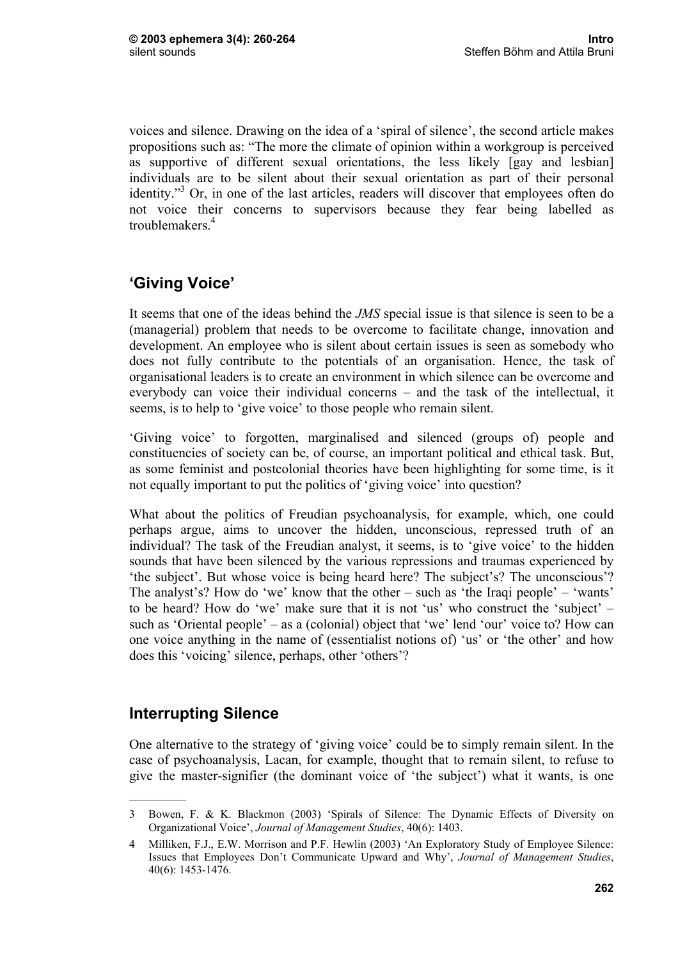voices and silence. Drawing on the idea of a 'spiral of silence', the second article makes propositions such as: "The more the climate of opinion within a workgroup is perceived as supportive of different sexual orientations, the less likely [gay and lesbian] individuals are to be silent about their sexual orientation as part of their personal identity."<sup>3</sup> Or, in one of the last articles, readers will discover that employees often do not voice their concerns to supervisors because they fear being labelled as troublemakers<sup>4</sup>

### **'Giving Voice'**

It seems that one of the ideas behind the *JMS* special issue is that silence is seen to be a (managerial) problem that needs to be overcome to facilitate change, innovation and development. An employee who is silent about certain issues is seen as somebody who does not fully contribute to the potentials of an organisation. Hence, the task of organisational leaders is to create an environment in which silence can be overcome and everybody can voice their individual concerns – and the task of the intellectual, it seems, is to help to 'give voice' to those people who remain silent.

'Giving voice' to forgotten, marginalised and silenced (groups of) people and constituencies of society can be, of course, an important political and ethical task. But, as some feminist and postcolonial theories have been highlighting for some time, is it not equally important to put the politics of 'giving voice' into question?

What about the politics of Freudian psychoanalysis, for example, which, one could perhaps argue, aims to uncover the hidden, unconscious, repressed truth of an individual? The task of the Freudian analyst, it seems, is to 'give voice' to the hidden sounds that have been silenced by the various repressions and traumas experienced by 'the subject'. But whose voice is being heard here? The subject's? The unconscious'? The analyst's? How do 'we' know that the other – such as 'the Iraqi people' – 'wants' to be heard? How do 'we' make sure that it is not 'us' who construct the 'subject' – such as 'Oriental people' – as a (colonial) object that 'we' lend 'our' voice to? How can one voice anything in the name of (essentialist notions of) 'us' or 'the other' and how does this 'voicing' silence, perhaps, other 'others'?

### **Interrupting Silence**

One alternative to the strategy of 'giving voice' could be to simply remain silent. In the case of psychoanalysis, Lacan, for example, thought that to remain silent, to refuse to give the master-signifier (the dominant voice of 'the subject') what it wants, is one

<sup>3</sup> Bowen, F. & K. Blackmon (2003) 'Spirals of Silence: The Dynamic Effects of Diversity on Organizational Voice', *Journal of Management Studies*, 40(6): 1403.

<sup>4</sup> Milliken, F.J., E.W. Morrison and P.F. Hewlin (2003) 'An Exploratory Study of Employee Silence: Issues that Employees Don't Communicate Upward and Why', *Journal of Management Studies*, 40(6): 1453-1476.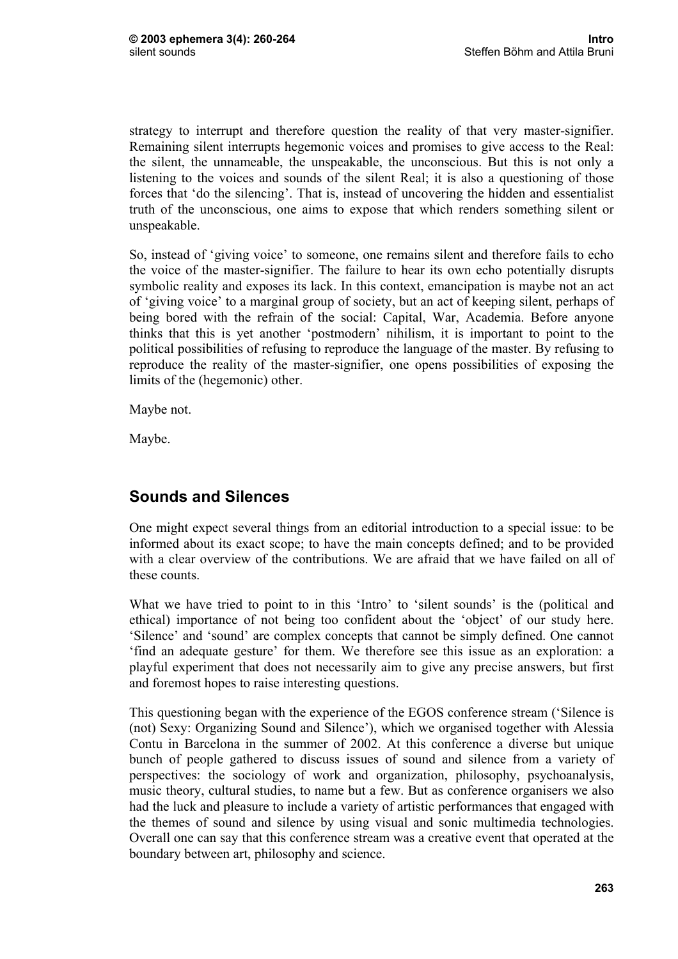strategy to interrupt and therefore question the reality of that very master-signifier. Remaining silent interrupts hegemonic voices and promises to give access to the Real: the silent, the unnameable, the unspeakable, the unconscious. But this is not only a listening to the voices and sounds of the silent Real; it is also a questioning of those forces that 'do the silencing'. That is, instead of uncovering the hidden and essentialist truth of the unconscious, one aims to expose that which renders something silent or unspeakable.

So, instead of 'giving voice' to someone, one remains silent and therefore fails to echo the voice of the master-signifier. The failure to hear its own echo potentially disrupts symbolic reality and exposes its lack. In this context, emancipation is maybe not an act of 'giving voice' to a marginal group of society, but an act of keeping silent, perhaps of being bored with the refrain of the social: Capital, War, Academia. Before anyone thinks that this is yet another 'postmodern' nihilism, it is important to point to the political possibilities of refusing to reproduce the language of the master. By refusing to reproduce the reality of the master-signifier, one opens possibilities of exposing the limits of the (hegemonic) other.

Maybe not.

Maybe.

#### **Sounds and Silences**

One might expect several things from an editorial introduction to a special issue: to be informed about its exact scope; to have the main concepts defined; and to be provided with a clear overview of the contributions. We are afraid that we have failed on all of these counts.

What we have tried to point to in this 'Intro' to 'silent sounds' is the (political and ethical) importance of not being too confident about the 'object' of our study here. 'Silence' and 'sound' are complex concepts that cannot be simply defined. One cannot 'find an adequate gesture' for them. We therefore see this issue as an exploration: a playful experiment that does not necessarily aim to give any precise answers, but first and foremost hopes to raise interesting questions.

This questioning began with the experience of the EGOS conference stream ('Silence is (not) Sexy: Organizing Sound and Silence'), which we organised together with Alessia Contu in Barcelona in the summer of 2002. At this conference a diverse but unique bunch of people gathered to discuss issues of sound and silence from a variety of perspectives: the sociology of work and organization, philosophy, psychoanalysis, music theory, cultural studies, to name but a few. But as conference organisers we also had the luck and pleasure to include a variety of artistic performances that engaged with the themes of sound and silence by using visual and sonic multimedia technologies. Overall one can say that this conference stream was a creative event that operated at the boundary between art, philosophy and science.